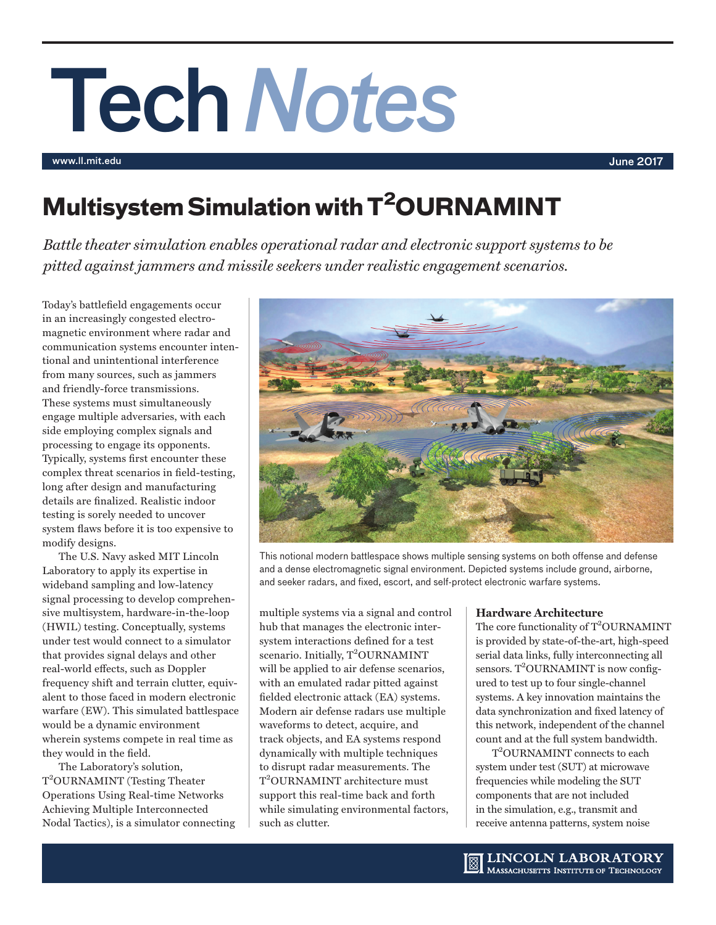# Tech*Notes*

www.ll.mit.edu June 2017

# **Multisystem Simulation with T2OURNAMINT**

*Battle theater simulation enables operational radar and electronic support systems to be pitted against jammers and missile seekers under realistic engagement scenarios.*

Today's battlefield engagements occur in an increasingly congested electromagnetic environment where radar and communication systems encounter intentional and unintentional interference from many sources, such as jammers and friendly-force transmissions. These systems must simultaneously engage multiple adversaries, with each side employing complex signals and processing to engage its opponents. Typically, systems first encounter these complex threat scenarios in field-testing, long after design and manufacturing details are finalized. Realistic indoor testing is sorely needed to uncover system flaws before it is too expensive to modify designs.

The U.S. Navy asked MIT Lincoln Laboratory to apply its expertise in wideband sampling and low-latency signal processing to develop comprehensive multisystem, hardware-in-the-loop (HWIL) testing. Conceptually, systems under test would connect to a simulator that provides signal delays and other real-world effects, such as Doppler frequency shift and terrain clutter, equivalent to those faced in modern electronic warfare (EW). This simulated battlespace would be a dynamic environment wherein systems compete in real time as they would in the field.

The Laboratory's solution, T<sup>2</sup>OURNAMINT (Testing Theater Operations Using Real-time Networks Achieving Multiple Interconnected Nodal Tactics), is a simulator connecting



This notional modern battlespace shows multiple sensing systems on both offense and defense and a dense electromagnetic signal environment. Depicted systems include ground, airborne, and seeker radars, and fixed, escort, and self-protect electronic warfare systems.

multiple systems via a signal and control hub that manages the electronic intersystem interactions defined for a test scenario. Initially, T<sup>2</sup>OURNAMINT will be applied to air defense scenarios, with an emulated radar pitted against fielded electronic attack (EA) systems. Modern air defense radars use multiple waveforms to detect, acquire, and track objects, and EA systems respond dynamically with multiple techniques to disrupt radar measurements. The T<sup>2</sup>OURNAMINT architecture must support this real-time back and forth while simulating environmental factors, such as clutter.

# **Hardware Architecture**

The core functionality of  $T^2$ OURNAMINT is provided by state-of-the-art, high-speed serial data links, fully interconnecting all  $sensors. T<sup>2</sup>OURNAMINT is now config$ ured to test up to four single-channel systems. A key innovation maintains the data synchronization and fixed latency of this network, independent of the channel count and at the full system bandwidth.

T2 OURNAMINT connects to each system under test (SUT) at microwave frequencies while modeling the SUT components that are not included in the simulation, e.g., transmit and receive antenna patterns, system noise